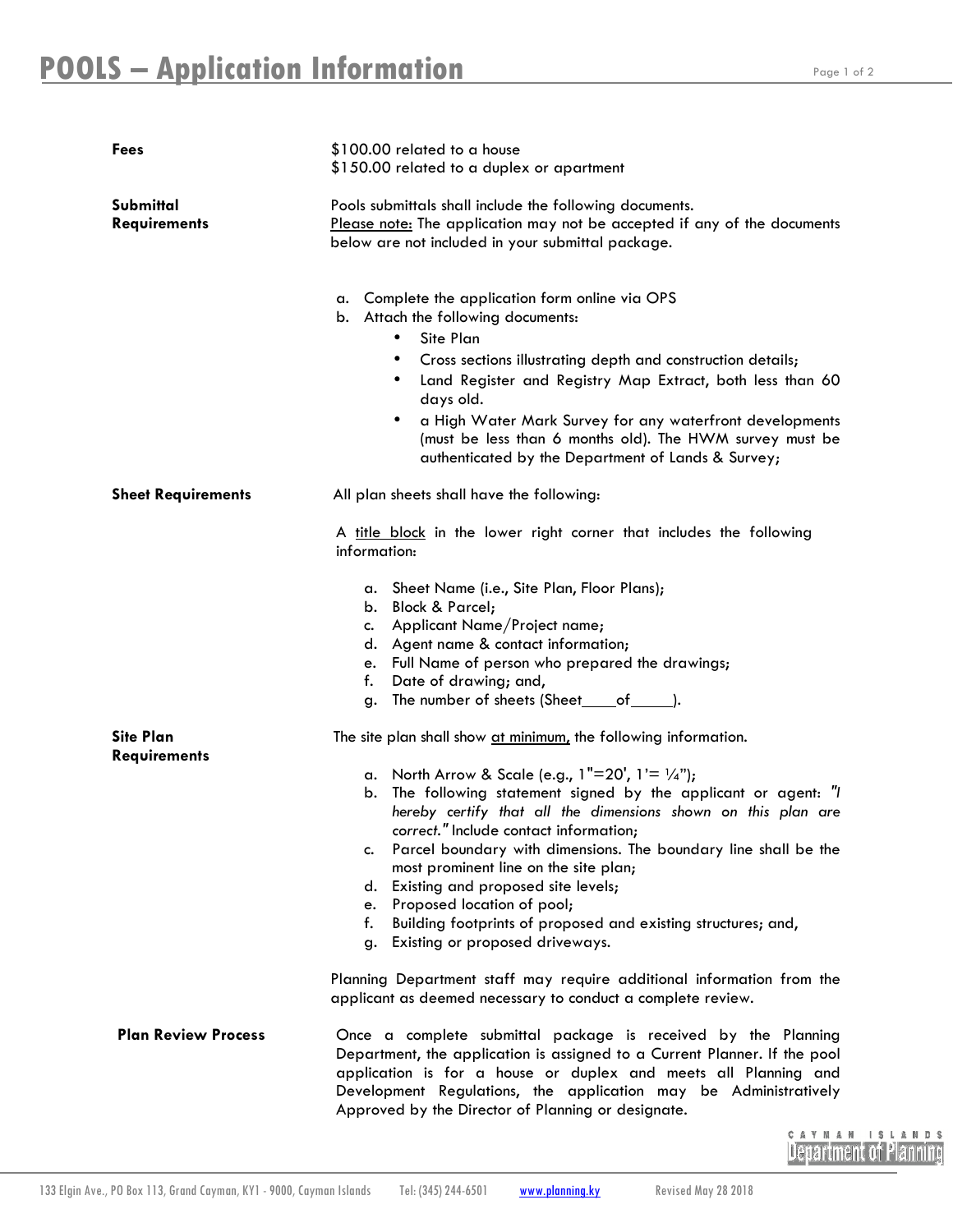| <b>Fees</b>                             | \$100.00 related to a house<br>\$150.00 related to a duplex or apartment                                                                                                                                                                                                                                                                                                                                                                                                                                                                              |
|-----------------------------------------|-------------------------------------------------------------------------------------------------------------------------------------------------------------------------------------------------------------------------------------------------------------------------------------------------------------------------------------------------------------------------------------------------------------------------------------------------------------------------------------------------------------------------------------------------------|
| Submittal<br><b>Requirements</b>        | Pools submittals shall include the following documents.<br>Please note: The application may not be accepted if any of the documents<br>below are not included in your submittal package.                                                                                                                                                                                                                                                                                                                                                              |
|                                         | Complete the application form online via OPS<br>а.<br>b. Attach the following documents:<br>Site Plan<br>Cross sections illustrating depth and construction details;<br>٠<br>Land Register and Registry Map Extract, both less than 60<br>$\bullet$<br>days old.<br>a High Water Mark Survey for any waterfront developments<br>٠<br>(must be less than 6 months old). The HWM survey must be<br>authenticated by the Department of Lands & Survey;                                                                                                   |
| <b>Sheet Requirements</b>               | All plan sheets shall have the following:                                                                                                                                                                                                                                                                                                                                                                                                                                                                                                             |
|                                         | A title block in the lower right corner that includes the following<br>information:                                                                                                                                                                                                                                                                                                                                                                                                                                                                   |
|                                         | a. Sheet Name (i.e., Site Plan, Floor Plans);<br>b. Block & Parcel;<br>Applicant Name/Project name;<br>c.<br>d. Agent name & contact information;<br>Full Name of person who prepared the drawings;<br>e.<br>Date of drawing; and,<br>f.<br>The number of sheets (Sheet_____of_______).<br>g.                                                                                                                                                                                                                                                         |
| <b>Site Plan</b><br><b>Requirements</b> | The site plan shall show at minimum, the following information.                                                                                                                                                                                                                                                                                                                                                                                                                                                                                       |
|                                         | a. North Arrow & Scale (e.g., $1"=20'$ , $1'=1/4"$ );<br>b. The following statement signed by the applicant or agent: "I<br>hereby certify that all the dimensions shown on this plan are<br>correct." Include contact information;<br>Parcel boundary with dimensions. The boundary line shall be the<br>c.<br>most prominent line on the site plan;<br>Existing and proposed site levels;<br>d.<br>Proposed location of pool;<br>e.<br>f.<br>Building footprints of proposed and existing structures; and,<br>Existing or proposed driveways.<br>g. |
|                                         | Planning Department staff may require additional information from the<br>applicant as deemed necessary to conduct a complete review.                                                                                                                                                                                                                                                                                                                                                                                                                  |
| <b>Plan Review Process</b>              | Once a complete submittal package is received by the Planning<br>Department, the application is assigned to a Current Planner. If the pool<br>application is for a house or duplex and meets all Planning and<br>Development Regulations, the application may be Administratively<br>Approved by the Director of Planning or designate.                                                                                                                                                                                                               |

CAYMAN ISLANDS